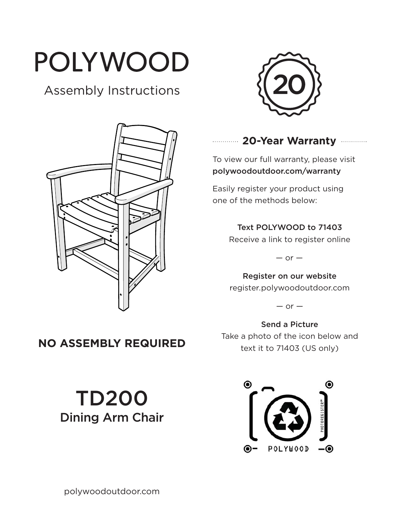# POLYWOOD

# Assembly Instructions





## **20-Year Warranty**

To view our full warranty, please visit polywoodoutdoor.com/warranty

Easily register your product using one of the methods below:

#### Text POLYWOOD to 71403

Receive a link to register online

 $-$  or  $-$ 

Register on our website register.polywoodoutdoor.com

 $-$  or  $-$ 

Send a Picture Take a photo of the icon below and text it to 71403 (US only)



# **NO ASSEMBLY REQUIRED**

TD200 Dining Arm Chair